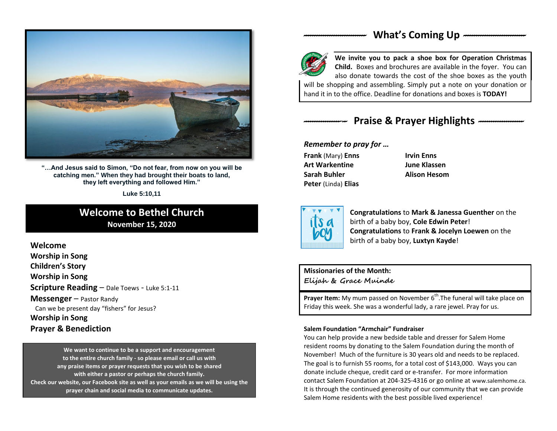

**"…And Jesus said to Simon, "Do not fear, from now on you will be catching men." When they had brought their boats to land, they left everything and followed Him."**

**Luke 5:10,11**

## **Welcome to Bethel Church November 15, 2020**

**Welcome Worship in Song Children's Story Worship in Song Scripture Reading** – Dale Toews - Luke 5:1-11 **Messenger** – Pastor Randy Can we be present day "fishers" for Jesus? **Worship in Song Prayer & Benediction**

**Check our with either a pastor or perhaps the church family.**<br>Check our website, our Facebook site as well as your emails as we will be using the  **We want to continue to be a support and encouragement to the entire church family - so please email or call us with any praise items or prayer requests that you wish to be shared with either a pastor or perhaps the church family. prayer chain and social media to communicate updates.**

## *-----------------------------* **What's Coming Up** *-----------------------------*



**We invite you to pack a shoe box for Operation Christmas Child.** Boxes and brochures are available in the foyer. You can also donate towards the cost of the shoe boxes as the youth will be shopping and assembling. Simply put a note on your donation or

hand it in to the office. Deadline for donations and boxes is **TODAY!**

# *--------------------* **Praise & Prayer Highlights** *---------------------*

#### *Remember to pray for …*

**Frank** (Mary) **Enns Irvin Enns Art Warkentine June Klassen Sarah Buhler Alison Hesom Peter** (Linda) **Elias**



**Congratulations** to **Mark & Janessa Guenther** on the birth of a baby boy, **Cole Edwin Peter**! **Congratulations** to **Frank & Jocelyn Loewen** on the birth of a baby boy, **Luxtyn Kayde**!

### **Missionaries of the Month: Elijah & Grace Muinde**

**Prayer Item:** My mum passed on November 6<sup>th</sup>. The funeral will take place on Friday this week. She was a wonderful lady, a rare jewel. Pray for us.

#### **Salem Foundation "Armchair" Fundraiser**

You can help provide a new bedside table and dresser for Salem Home resident rooms by donating to the Salem Foundation during the month of November! Much of the furniture is 30 years old and needs to be replaced. The goal is to furnish 55 rooms, for a total cost of \$143,000. Ways you can donate include cheque, credit card or e-transfer. For more information contact Salem Foundation at 204-325-4316 or go online at www.salemhome.ca. It is through the continued generosity of our community that we can provide Salem Home residents with the best possible lived experience!